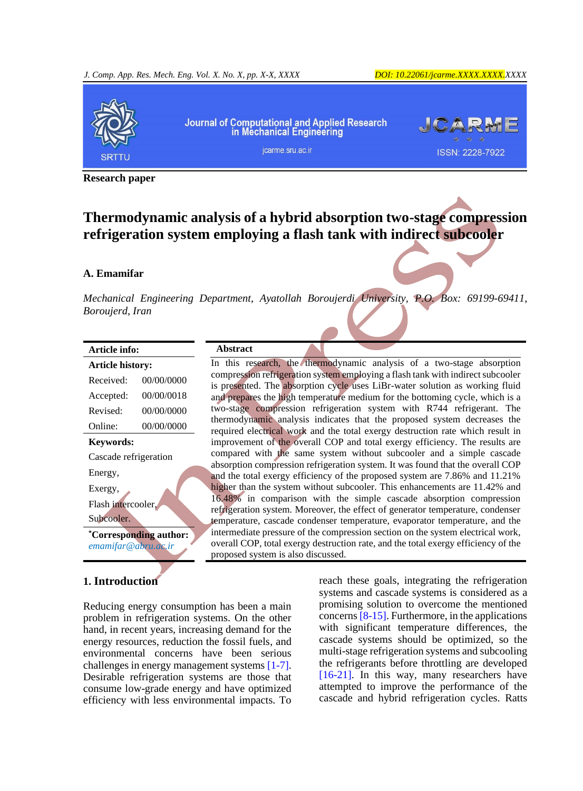

**Research paper**

# **Thermodynamic analysis of a hybrid absorption two-stage compression refrigeration system employing a flash tank with indirect subcooler**

#### **A. Emamifar**

*Mechanical Engineering Department, Ayatollah Boroujerdi University, P.O. Box: 69199-69411, Boroujerd, Iran*

**Abstract**

proposed system is also discussed.

In this research, the thermodynamic analysis of a two-stage absorption compression refrigeration system employing a flash tank with indirect subcooler is presented. The absorption cycle uses LiBr-water solution as working fluid and prepares the high temperature medium for the bottoming cycle, which is a two-stage compression refrigeration system with R744 refrigerant. The thermodynamic analysis indicates that the proposed system decreases the required electrical work and the total exergy destruction rate which result in improvement of the overall COP and total exergy efficiency. The results are compared with the same system without subcooler and a simple cascade absorption compression refrigeration system. It was found that the overall COP and the total exergy efficiency of the proposed system are 7.86% and 11.21% higher than the system without subcooler. This enhancements are 11.42% and 16.48% in comparison with the simple cascade absorption compression refrigeration system. Moreover, the effect of generator temperature, condenser temperature, cascade condenser temperature, evaporator temperature, and the intermediate pressure of the compression section on the system electrical work, overall COP, total exergy destruction rate, and the total exergy efficiency of the

| Article info:         |                         |  |  |  |
|-----------------------|-------------------------|--|--|--|
|                       | <b>Article history:</b> |  |  |  |
| Received:             | 00/00/0000              |  |  |  |
| Accepted:             | 00/00/0018              |  |  |  |
| Revised:              | 00/00/0000              |  |  |  |
| Online:               | 00/00/0000              |  |  |  |
| <b>Keywords:</b>      |                         |  |  |  |
| Cascade refrigeration |                         |  |  |  |
| Energy,               |                         |  |  |  |
| Exergy,               |                         |  |  |  |
| Flash intercooler,    |                         |  |  |  |
| Subcooler.            |                         |  |  |  |
| Corresponding author: |                         |  |  |  |
| emamifar@abru.ac.ir   |                         |  |  |  |
|                       |                         |  |  |  |

## **1. Introduction**

Reducing energy consumption has been a main problem in refrigeration systems. On the other hand, in recent years, increasing demand for the energy resources, reduction the fossil fuels, and environmental concerns have been serious challenges in energy management systems [\[1-7\]](#page-12-0). Desirable refrigeration systems are those that consume low-grade energy and have optimized efficiency with less environmental impacts. To

reach these goals, integrating the refrigeration systems and cascade systems is considered as a promising solution to overcome the mentioned concerns [\[8-15\]](#page-12-1). Furthermore, in the applications with significant temperature differences, the cascade systems should be optimized, so the multi-stage refrigeration systems and subcooling the refrigerants before throttling are developed [\[16-21\]](#page-12-2). In this way, many researchers have attempted to improve the performance of the cascade and hybrid refrigeration cycles. Ratts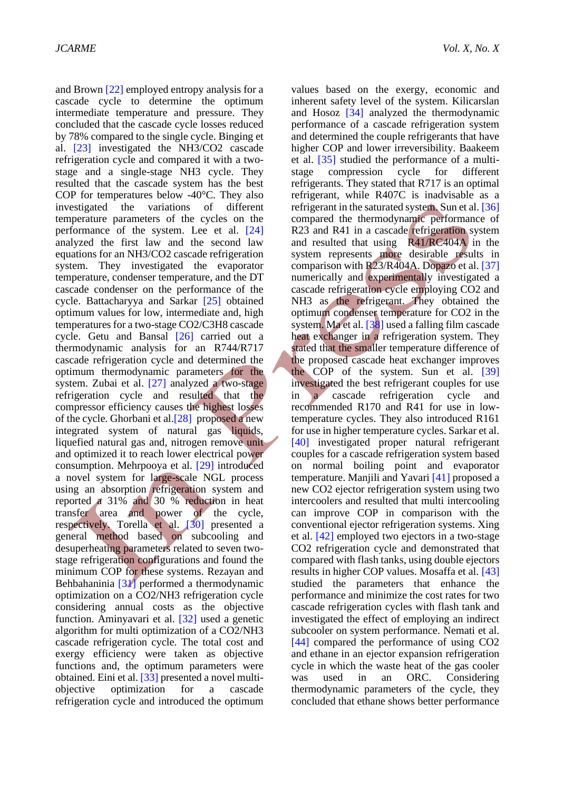and Brown [\[22\]](#page-13-0) employed entropy analysis for a cascade cycle to determine the optimum intermediate temperature and pressure. They concluded that the cascade cycle losses reduced by 78% compared to the single cycle. Binging et al. [\[23\]](#page-13-1) investigated the NH3/CO2 cascade refrigeration cycle and compared it with a twostage and a single-stage NH3 cycle. They resulted that the cascade system has the best COP for temperatures below -40°C. They also investigated the variations of different temperature parameters of the cycles on the performance of the system. Lee et al. [\[24\]](#page-13-2) analyzed the first law and the second law equations for an NH3/CO2 cascade refrigeration system. They investigated the evaporator temperature, condenser temperature, and the DT cascade condenser on the performance of the cycle. Battacharyya and Sarkar [\[25\]](#page-13-3) obtained optimum values for low, intermediate and, high temperatures for a two-stage CO2/C3H8 cascade cycle. Getu and Bansal [\[26\]](#page-13-4) carried out a thermodynamic analysis for an R744/R717 cascade refrigeration cycle and determined the optimum thermodynamic parameters for the system. Zubai et al. [\[27\]](#page-13-5) analyzed a two-stage refrigeration cycle and resulted that the compressor efficiency causes the highest losses of the cycle. Ghorbani et al.[\[28\]](#page-13-6) proposed a new integrated system of natural gas liquids, liquefied natural gas and, nitrogen remove unit and optimized it to reach lower electrical power consumption. Mehrpooya et al. [\[29\]](#page-13-7) introduced a novel system for large-scale NGL process using an absorption refrigeration system and reported a 31% and 30 % reduction in heat transfer area and power of the cycle, respectively. Torella et al. [\[30\]](#page-13-8) presented a general method based on subcooling and desuperheating parameters related to seven twostage refrigeration configurations and found the minimum COP for these systems. Rezayan and Behbahaninia [\[31\]](#page-13-9) performed a thermodynamic optimization on a CO2/NH3 refrigeration cycle considering annual costs as the objective function. Aminyavari et al. [\[32\]](#page-13-10) used a genetic algorithm for multi optimization of a CO2/NH3 cascade refrigeration cycle. The total cost and exergy efficiency were taken as objective functions and, the optimum parameters were obtained. Eini et al. [\[33\]](#page-14-0) presented a novel multiobjective optimization for a cascade refrigeration cycle and introduced the optimum

values based on the exergy, economic and inherent safety level of the system. Kilicarslan and Hosoz [\[34\]](#page-14-1) analyzed the thermodynamic performance of a cascade refrigeration system and determined the couple refrigerants that have higher COP and lower irreversibility. Baakeem et al. [\[35\]](#page-14-2) studied the performance of a multistage compression cycle for different refrigerants. They stated that R717 is an optimal refrigerant, while R407C is inadvisable as a refrigerant in the saturated system. Sun et al. [\[36\]](#page-14-3) compared the thermodynamic performance of R23 and R41 in a cascade refrigeration system and resulted that using R41/RC404A in the system represents more desirable results in comparison with R23/R404A. Dopazo et al. [\[37\]](#page-14-4) numerically and experimentally investigated a cascade refrigeration cycle employing CO2 and NH3 as the refrigerant. They obtained the optimum condenser temperature for CO2 in the system. Ma et al. [\[38\]](#page-14-5) used a falling film cascade heat exchanger in a refrigeration system. They stated that the smaller temperature difference of the proposed cascade heat exchanger improves the COP of the system. Sun et al. [\[39\]](#page-14-6) investigated the best refrigerant couples for use in a cascade refrigeration cycle and recommended R170 and R41 for use in lowtemperature cycles. They also introduced R161 for use in higher temperature cycles. Sarkar et al. [\[40\]](#page-14-7) investigated proper natural refrigerant couples for a cascade refrigeration system based on normal boiling point and evaporator temperature. Manjili and Yavari [\[41\]](#page-14-8) proposed a new CO2 ejector refrigeration system using two intercoolers and resulted that multi intercooling can improve COP in comparison with the conventional ejector refrigeration systems. Xing et al. [\[42\]](#page-14-9) employed two ejectors in a two-stage CO2 refrigeration cycle and demonstrated that compared with flash tanks, using double ejectors results in higher COP values. Mosaffa et al. [\[43\]](#page-14-10) studied the parameters that enhance the performance and minimize the cost rates for two cascade refrigeration cycles with flash tank and investigated the effect of employing an indirect subcooler on system performance. Nemati et al. [\[44\]](#page-14-11) compared the performance of using CO2 and ethane in an ejector expansion refrigeration cycle in which the waste heat of the gas cooler was used in an ORC. Considering thermodynamic parameters of the cycle, they concluded that ethane shows better performance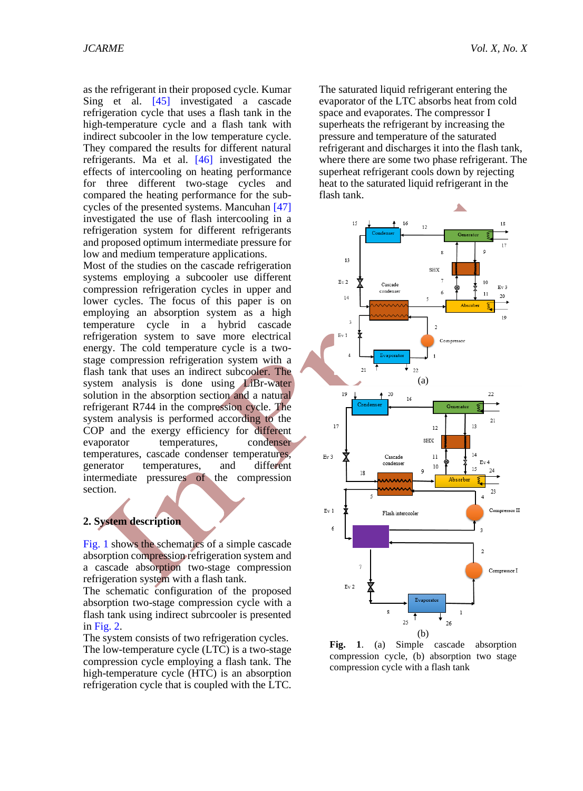as the refrigerant in their proposed cycle. Kumar Sing et al. [\[45\]](#page-14-12) investigated a cascade refrigeration cycle that uses a flash tank in the high-temperature cycle and a flash tank with indirect subcooler in the low temperature cycle. They compared the results for different natural refrigerants. Ma et al. [\[46\]](#page-14-13) investigated the effects of intercooling on heating performance for three different two-stage cycles and compared the heating performance for the subcycles of the presented systems. Mancuhan [\[47\]](#page-14-14) investigated the use of flash intercooling in a refrigeration system for different refrigerants and proposed optimum intermediate pressure for low and medium temperature applications.

Most of the studies on the cascade refrigeration systems employing a subcooler use different compression refrigeration cycles in upper and lower cycles. The focus of this paper is on employing an absorption system as a high temperature cycle in a hybrid cascade refrigeration system to save more electrical energy. The cold temperature cycle is a twostage compression refrigeration system with a flash tank that uses an indirect subcooler. The system analysis is done using LiBr-water solution in the absorption section and a natural refrigerant R744 in the compression cycle. The system analysis is performed according to the COP and the exergy efficiency for different evaporator temperatures, condenser temperatures, cascade condenser temperatures, generator temperatures, and different intermediate pressures of the compression section.

## **2. System description**

[Fig.](#page-2-0) 1 shows the schematics of a simple cascade absorption compression refrigeration system and a cascade absorption two-stage compression refrigeration system with a flash tank.

The schematic configuration of the proposed absorption two-stage compression cycle with a flash tank using indirect subrcooler is presented in [Fig.](#page-3-0) 2.

The system consists of two refrigeration cycles. The low-temperature cycle (LTC) is a two-stage compression cycle employing a flash tank. The high-temperature cycle (HTC) is an absorption refrigeration cycle that is coupled with the LTC.

The saturated liquid refrigerant entering the evaporator of the LTC absorbs heat from cold space and evaporates. The compressor I superheats the refrigerant by increasing the pressure and temperature of the saturated refrigerant and discharges it into the flash tank, where there are some two phase refrigerant. The superheat refrigerant cools down by rejecting heat to the saturated liquid refrigerant in the flash tank.



<span id="page-2-0"></span>**Fig. 1**. (a) Simple cascade absorption compression cycle, (b) absorption two stage compression cycle with a flash tank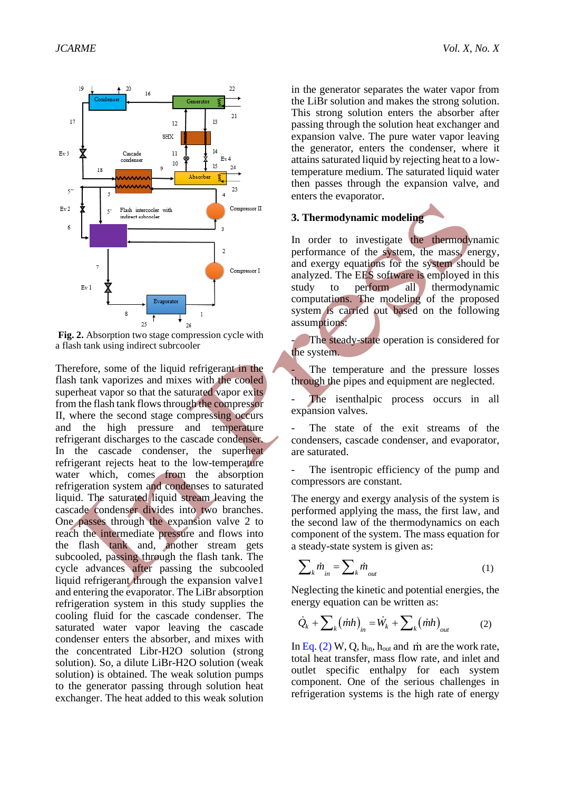

<span id="page-3-0"></span>**Fig. 2.** Absorption two stage compression cycle with a flash tank using indirect subrcooler

Therefore, some of the liquid refrigerant in the flash tank vaporizes and mixes with the cooled superheat vapor so that the saturated vapor exits from the flash tank flows through the compressor II, where the second stage compressing occurs and the high pressure and temperature refrigerant discharges to the cascade condenser. In the cascade condenser, the superheat refrigerant rejects heat to the low-temperature water which, comes from the absorption refrigeration system and condenses to saturated liquid. The saturated liquid stream leaving the cascade condenser divides into two branches. One passes through the expansion valve 2 to reach the intermediate pressure and flows into the flash tank and, another stream gets subcooled, passing through the flash tank. The cycle advances after passing the subcooled liquid refrigerant through the expansion valve1 and entering the evaporator. The LiBr absorption refrigeration system in this study supplies the cooling fluid for the cascade condenser. The saturated water vapor leaving the cascade condenser enters the absorber, and mixes with the concentrated Libr-H2O solution (strong solution). So, a dilute LiBr-H2O solution (weak solution) is obtained. The weak solution pumps to the generator passing through solution heat exchanger. The heat added to this weak solution

in the generator separates the water vapor from the LiBr solution and makes the strong solution. This strong solution enters the absorber after passing through the solution heat exchanger and expansion valve. The pure water vapor leaving the generator, enters the condenser, where it attains saturated liquid by rejecting heat to a lowtemperature medium. The saturated liquid water then passes through the expansion valve, and enters the evaporator.

#### **3. Thermodynamic modeling**

In order to investigate the thermodynamic performance of the system, the mass, energy, and exergy equations for the system should be analyzed. The EES software is employed in this study to perform all thermodynamic computations. The modeling of the proposed system is carried out based on the following assumptions:

The steady-state operation is considered for the system.

The temperature and the pressure losses through the pipes and equipment are neglected.

The isenthalpic process occurs in all expansion valves.

The state of the exit streams of the condensers, cascade condenser, and evaporator, are saturated.

The isentropic efficiency of the pump and compressors are constant.

The energy and exergy analysis of the system is performed applying the mass, the first law, and the second law of the thermodynamics on each component of the system. The mass equation for a steady-state system is given as:

$$
\sum_{k} \dot{m}_{in} = \sum_{k} \dot{m}_{out} \tag{1}
$$

Neglecting the kinetic and potential energies, the

<span id="page-3-1"></span>energy equation can be written as:  
\n
$$
\dot{Q}_k + \sum_{k} (\dot{m}h)_{in} = \dot{W}_k + \sum_{k} (\dot{m}h)_{out}
$$
\n(2)

In [Eq.](#page-3-1)  $(2)$  W, Q,  $h_{in}$ ,  $h_{out}$  and  $\dot{m}$  are the work rate, total heat transfer, mass flow rate, and inlet and outlet specific enthalpy for each system component. One of the serious challenges in refrigeration systems is the high rate of energy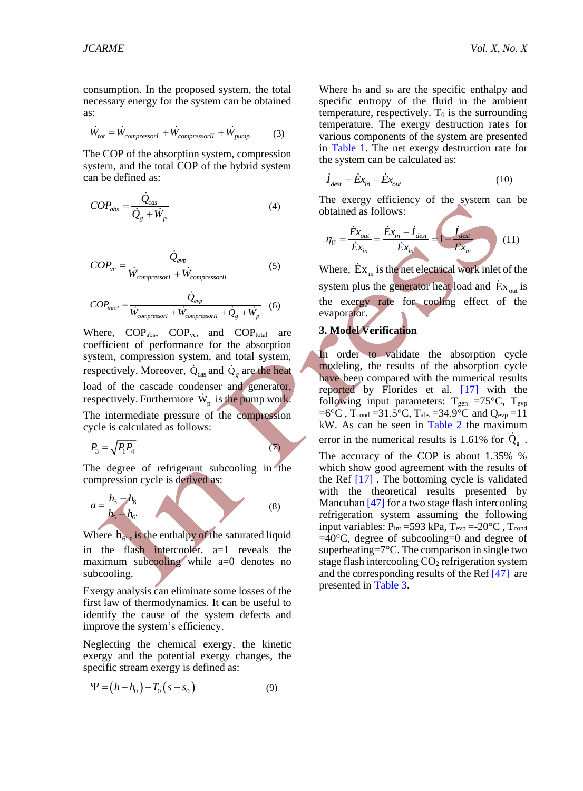consumption. In the proposed system, the total necessary energy for the system can be obtained as:

$$
\dot{W}_{tot} = \dot{W}_{compressort} + \dot{W}_{compressorII} + \dot{W}_{pump}
$$
 (3)

The COP of the absorption system, compression system, and the total COP of the hybrid system can be defined as:

$$
COP_{abs} = \frac{\dot{Q}_{cas}}{\dot{Q}_g + \dot{W}_p}
$$
 (4)

$$
COP_{vc} = \frac{\dot{Q}_{evp}}{\dot{W}_{compressionI} + \dot{W}_{compressionII}}
$$
 (5)

$$
COP_{total} = \frac{\hat{Q}_{evp}}{\dot{W}_{compressionI} + \dot{W}_{compressionII} + \dot{Q}_g + \dot{W}_p}
$$
 (6)

Where,  $COP<sub>abs</sub>$ ,  $COP<sub>vc</sub>$ , and  $COP<sub>total</sub>$  are coefficient of performance for the absorption system, compression system, and total system, respectively. Moreover,  $\dot{Q}_{\text{cas}}$  and  $\dot{Q}_g$  are the heat load of the cascade condenser and generator, respectively. Furthermore  $\dot{W}_p$  is the pump work. The intermediate pressure of the compression cycle is calculated as follows:

$$
P_3 = \sqrt{P_1 P_4} \tag{7}
$$

The degree of refrigerant subcooling in the compression cycle is derived as:

$$
a = \frac{h_5 - h_8}{h_5 - h_6} \tag{8}
$$

Where  $h_{6}$ , is the enthalpy of the saturated liquid in the flash intercooler. a=1 reveals the maximum subcooling while a=0 denotes no subcooling.

Exergy analysis can eliminate some losses of the first law of thermodynamics. It can be useful to identify the cause of the system defects and improve the system's efficiency.

Neglecting the chemical exergy, the kinetic exergy and the potential exergy changes, the specific stream exergy is defined as:

$$
\Psi = (h - h_0) - T_0 (s - s_0)
$$
\n(9)

Where  $h_0$  and  $s_0$  are the specific enthalpy and specific entropy of the fluid in the ambient temperature, respectively.  $T_0$  is the surrounding temperature. The exergy destruction rates for various components of the system are presented in [Table 1.](#page-5-0) The net exergy destruction rate for the system can be calculated as:

$$
\dot{I}_{dest} = \dot{E}x_{in} - \dot{E}x_{out} \tag{10}
$$

The exergy efficiency of the system can be obtained as follows:

$$
\eta_{II} = \frac{\dot{E}x_{out}}{\dot{E}x_{in}} = \frac{\dot{E}x_{in} - \dot{I}_{dest}}{\dot{E}x_{in}} = 1 - \frac{\dot{I}_{dest}}{\dot{E}x_{in}}
$$
(11)

Where,  $\mathbf{Ex}_{in}$  is the net electrical work inlet of the system plus the generator heat load and  $\dot{Ex}_{out}$  is the exergy rate for cooling effect of the evaporator.

# **3. Model Verification**

In order to validate the absorption cycle modeling, the results of the absorption cycle have been compared with the numerical results reported by Florides et al. [\[17\]](#page-13-11) with the following input parameters:  $T_{gen} = 75^{\circ}C$ ,  $T_{evp}$ =6°C,  $T_{cond}$  =31.5°C,  $T_{abs}$  =34.9°C and  $Q_{evp}$  =11 kW. As can be seen in [Table 2](#page-6-0) the maximum error in the numerical results is 1.61% for  $Q<sub>g</sub>$ .

The accuracy of the COP is about 1.35% % which show good agreement with the results of the Ref [\[17\]](#page-13-11) . The bottoming cycle is validated with the theoretical results presented by Mancuhan [\[47\]](#page-14-14) for a two stage flash intercooling refrigeration system assuming the following input variables:  $P_{int} = 593$  kPa,  $\overline{T}_{evp} = -20$ °C,  $T_{cond}$  $=40^{\circ}$ C, degree of subcooling=0 and degree of superheating=7°C. The comparison in single two stage flash intercooling  $CO<sub>2</sub>$  refrigeration system and the corresponding results of the Ref [\[47\]](#page-14-14) are presented in [Table 3.](#page-6-1)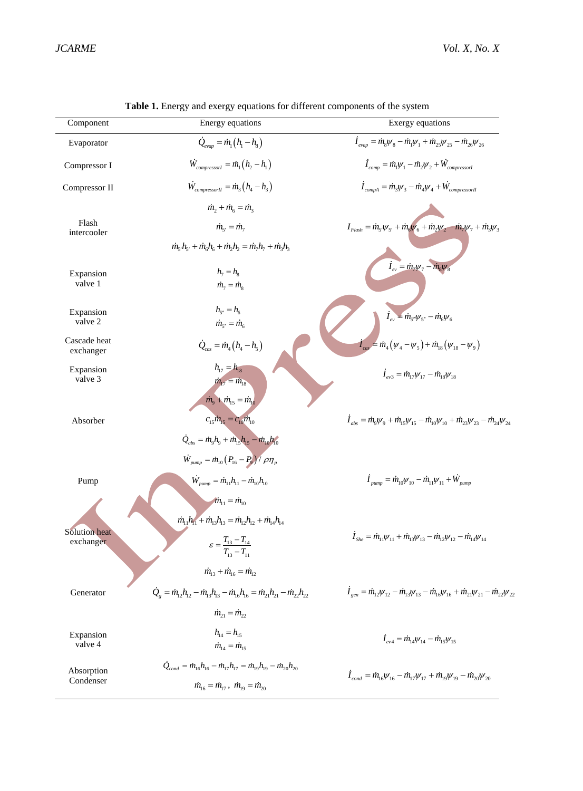<span id="page-5-0"></span>

| Component                         | Energy equations                                                                                                                                                                          | Exergy equations                                                                                                                               |
|-----------------------------------|-------------------------------------------------------------------------------------------------------------------------------------------------------------------------------------------|------------------------------------------------------------------------------------------------------------------------------------------------|
| Evaporator                        | $Q_{\text{even}} = m_1(h_1 - h_2)$                                                                                                                                                        | $\dot{I}_{evab} = \dot{m}_8 \psi_8 - \dot{m}_1 \psi_1 + \dot{m}_{25} \psi_{25} - \dot{m}_{26} \psi_{26}$                                       |
| Compressor I                      | $\dot{W}_{\textit{compressort}} = \dot{m}_1(h_2 - h_1)$                                                                                                                                   | $\dot{I}_{comm} = \dot{m}_1 \psi_1 - \dot{m}_2 \psi_2 + \dot{W}_{compressort}$                                                                 |
| Compressor II                     | $W_{compressorII} = \dot{m}_3(h_4 - h_3)$                                                                                                                                                 | $I_{\text{compA}} = \dot{m}_3 \psi_3 - \dot{m}_4 \psi_4 + \dot{W}_{\text{compresorII}}$                                                        |
| Flash<br>intercooler              | $\dot{m}_2 + \dot{m}_6 = \dot{m}_3$<br>$m_{5'} = m_{7}$<br>$\dot{m}_{5}h_{5} + \dot{m}_{6}h_{6} + \dot{m}_{5}h_{7} = \dot{m}_{7}h_{7} + \dot{m}_{3}h_{3}$                                 | $I_{Flash} = \dot{m}_{S'} \psi_{S'} + \dot{m}_{S} \psi_{6} + \dot{m}_{2} \psi_{2} - \dot{m}_{7} \psi_{7} + \dot{m}_{3} \psi_{3}$               |
| Expansion<br>valve 1              | $h_7 = h$<br>$\dot{m}_7 = \dot{m}_8$                                                                                                                                                      | $\dot{I}_{ev} = \dot{m}_{\gamma} \psi_{\gamma} - \dot{m}_{\rm s} \psi_{\rm s}$                                                                 |
| Expansion<br>valve 2              | $h_{5'} = h_6$<br>$\dot{m}_{5'} = \dot{m}_{6}$                                                                                                                                            | $I_{ev} = m_s \psi_s$ , $- m_b \psi_s$<br>$I_{cos} = m_4 (\psi_4 - \psi_5) + m_{18} (\psi_{18} - \psi_9)$                                      |
| Cascade heat<br>exchanger         | $\dot{Q}_{cas} = \dot{m}_4 (h_4 - h_5)$                                                                                                                                                   |                                                                                                                                                |
| Expansion<br>valve 3              | $h_{17} = h_{18}$<br>$m_{17} = m_{18}$                                                                                                                                                    | $\dot{I}_{\nu 3} = \dot{m}_{17} \psi_{17} - \dot{m}_{18} \psi_{18}$                                                                            |
| Absorber                          | $m_{0} + m_{15} = m_{10}$<br>$c_{15}m_{15}=c_{10}m_{10}$<br>$\dot{Q}_{abs} = \dot{m}_9 h_9 + \dot{m}_{15} h_{15} - \dot{m}_{10} h_{10}$                                                   | $\dot{I}_{\text{obs}} = \dot{m}_0 \psi_0 + \dot{m}_1 \psi_{15} - \dot{m}_1 \psi_{10} + \dot{m}_2 \psi_{23} - \dot{m}_2 \psi_{24}$              |
| Pump                              | $\dot{W}_{pump} = \dot{m}_{10} (P_{16} - P_9) / \rho \eta_p$<br>$\dot{W}_{pump} = \dot{m}_{11}h_{11} - \dot{m}_{10}h_{10}$<br>$m_{11} = m_{10}$                                           | $\dot{I}_{num} = \dot{m}_{10} V_{10} - \dot{m}_{11} V_{11} + \dot{W}_{pump}$                                                                   |
| <b>Solution</b> heat<br>exchanger | $\dot{m}_{11}h_{11} + \dot{m}_{13}h_{13} = \dot{m}_{12}h_{12} + \dot{m}_{14}h_{14}$<br>$\varepsilon = \frac{T_{13} - T_{14}}{T_{13} - T_{11}}$                                            | $I_{\rm She} = \dot{m}_{11}\psi_{11} + \dot{m}_{13}\psi_{13} - \dot{m}_{12}\psi_{12} - \dot{m}_{14}\psi_{14}$                                  |
| Generator                         | $\dot{m}_{13} + \dot{m}_{16} = \dot{m}_{12}$<br>$\dot{Q}_e = \dot{m}_{12}h_{12} - \dot{m}_{13}h_{13} - \dot{m}_{16}h_{16} = \dot{m}_{21}h_{21} - \dot{m}_{22}h_{22}$<br>$m_{21} = m_{22}$ | $\dot{I}_{\text{gen}} = \dot{m}_{12}\psi_{12} - \dot{m}_{13}\psi_{13} - \dot{m}_{16}\psi_{16} + \dot{m}_{21}\psi_{21} - \dot{m}_{22}\psi_{22}$ |
| Expansion<br>valve 4              | $h_{14} = h_{15}$<br>$\dot{m}_{14} = \dot{m}_{15}$                                                                                                                                        | $\dot{I}_{\text{out}} = \dot{m}_{14}\psi_{14} - \dot{m}_{15}\psi_{15}$                                                                         |
| Absorption<br>Condenser           | $\dot{Q}_{cond} = \dot{m}_{16}h_{16} - \dot{m}_{17}h_{17} = \dot{m}_{19}h_{19} - \dot{m}_{20}h_{20}$<br>$\dot{m}_{16} = \dot{m}_{17}$ , $\dot{m}_{19} = \dot{m}_{20}$                     | $I_{cond} = \dot{m}_{16} \psi_{16} - \dot{m}_{17} \psi_{17} + \dot{m}_{19} \psi_{19} - \dot{m}_{20} \psi_{20}$                                 |

**Table 1.** Energy and exergy equations for different components of the system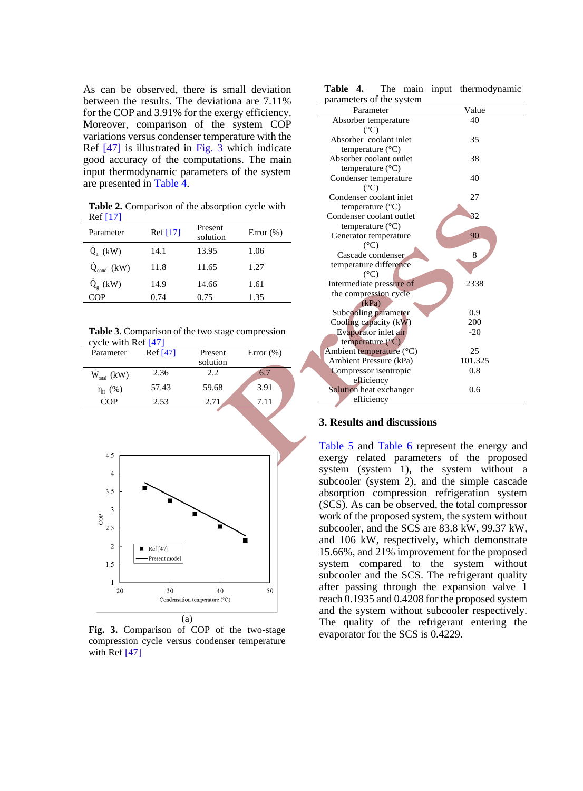As can be observed, there is small deviation between the results. The deviationa are 7.11% for the COP and 3.91% for the exergy efficiency. Moreover, comparison of the system COP variations versus condenser temperature with the Ref [\[47\]](#page-14-14) is illustrated in [Fig.](#page-6-2) 3 which indicate good accuracy of the computations. The main input thermodynamic parameters of the system are presented in [Table 4.](#page-6-3)

<span id="page-6-0"></span>**Table 2.** Comparison of the absorption cycle with Ref [\[17\]](#page-13-11)

| Parameter              | Ref[17] | Present<br>solution | Error $(\%)$ |
|------------------------|---------|---------------------|--------------|
| $Q_{\alpha}$ (kW)      | 14.1    | 13.95               | 1.06         |
| $Q_{\text{cond}}$ (kW) | 11.8    | 11.65               | 1.27         |
| $Q_{g}$ (kW)           | 14.9    | 14.66               | 1.61         |
| COP                    | 0.74    | 0.75                | 1.35         |

<span id="page-6-1"></span>**Table 3**. Comparison of the two stage compression cycle with Ref [\[47\]](#page-14-14)

| Parameter        | Ref [47] | Present  | Error $(\%)$ |
|------------------|----------|----------|--------------|
|                  |          | solution |              |
| $W_{total}$ (kW) | 2.36     | 2.2      | 6.7          |
| $\eta_{II}$ (%)  | 57.43    | 59.68    | 3.91         |
| ∩P               | 2.53     | 2.71     | 7.11         |
|                  |          |          |              |



<span id="page-6-2"></span>**Fig. 3.** Comparison of COP of the two-stage compression cycle versus condenser temperature with Ref [\[47\]](#page-14-14)

<span id="page-6-3"></span>**Table 4.** The main input thermodynamic parameters of the system

| parameters of the system  |         |
|---------------------------|---------|
| Parameter                 | Value   |
| Absorber temperature      | 40      |
| $(^{\circ}C)$             |         |
| Absorber coolant inlet    | 35      |
| temperature (°C)          |         |
| Absorber coolant outlet   | 38      |
| temperature $(^{\circ}C)$ |         |
| Condenser temperature     | 40      |
| $(^{\circ}C)$             |         |
| Condenser coolant inlet   | 27      |
| temperature $(^{\circ}C)$ |         |
| Condenser coolant outlet  | 32      |
| temperature (°C)          |         |
| Generator temperature     | 90      |
| $(^{\circ}C)$             |         |
| Cascade condenser.        | 8       |
| temperature difference    |         |
| $(^{\circ}C)$             |         |
| Intermediate pressure of  | 2338    |
| the compression cycle     |         |
| (kPa)                     |         |
| Subcooling parameter      | 0.9     |
| Cooling capacity (kW)     | 200     |
| Evaporator inlet air      | $-20$   |
| temperature $(^{\circ}C)$ |         |
| Ambient temperature (°C)  | 25      |
| Ambient Pressure (kPa)    | 101.325 |
| Compressor isentropic     | 0.8     |
| efficiency                |         |
| Solution heat exchanger   | 0.6     |
| efficiency                |         |

#### **3. Results and discussions**

[Table 5](#page-7-0) and [Table 6](#page-7-1) represent the energy and exergy related parameters of the proposed system (system 1), the system without a subcooler (system 2), and the simple cascade absorption compression refrigeration system (SCS). As can be observed, the total compressor work of the proposed system, the system without subcooler, and the SCS are 83.8 kW, 99.37 kW, and 106 kW, respectively, which demonstrate 15.66%, and 21% improvement for the proposed system compared to the system without subcooler and the SCS. The refrigerant quality after passing through the expansion valve 1 reach 0.1935 and 0.4208 for the proposed system and the system without subcooler respectively. The quality of the refrigerant entering the evaporator for the SCS is 0.4229.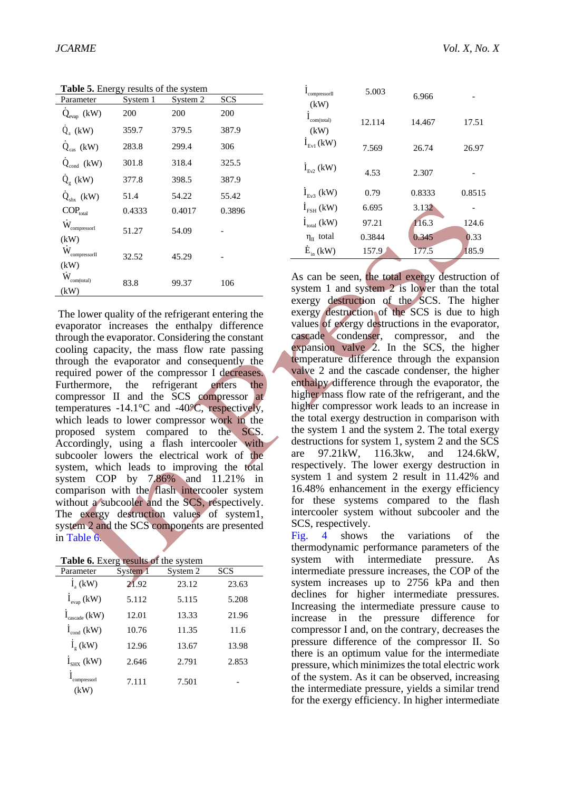<span id="page-7-0"></span>**Table 5.** Energy results of the system

| Parameter                              | System 1 | System 2 | SCS    |
|----------------------------------------|----------|----------|--------|
| $Q_{evap}$ (kW)                        | 200      | 200      | 200    |
| $Q_{\rm a}$ (kW)                       | 359.7    | 379.5    | 387.9  |
| $Q_{\text{cas}}$ (kW)                  | 283.8    | 299.4    | 306    |
| $Q_{\text{cond}}$ (kW)                 | 301.8    | 318.4    | 325.5  |
| $Q_{g}$ (kW)                           | 377.8    | 398.5    | 387.9  |
| $Q_{\text{shx}}$ (kW)                  | 51.4     | 54.22    | 55.42  |
| $COP_{total}$                          | 0.4333   | 0.4017   | 0.3896 |
| $\dot{W}_{\rm compression I}$<br>(kW)  | 51.27    | 54.09    |        |
| $\dot{W}_{\rm compression II}$<br>(kW) | 32.52    | 45.29    |        |
| $W_{\rm com (total)}$<br>(kW)          | 83.8     | 99.37    | 106    |

The lower quality of the refrigerant entering the evaporator increases the enthalpy difference through the evaporator. Considering the constant cooling capacity, the mass flow rate passing through the evaporator and consequently the required power of the compressor I decreases. Furthermore, the refrigerant enters the compressor II and the SCS compressor at temperatures -14.1°C and -40°C, respectively, which leads to lower compressor work in the proposed system compared to the SCS. Accordingly, using a flash intercooler with subcooler lowers the electrical work of the system, which leads to improving the total system COP by 7.86% and 11.21% in comparison with the flash intercooler system without a subcooler and the SCS, respectively. The exergy destruction values of system1, system 2 and the SCS components are presented in [Table 6.](#page-7-1)

<span id="page-7-1"></span>

| Table 6. Exerg results of the system       |          |          |            |  |
|--------------------------------------------|----------|----------|------------|--|
| Parameter                                  | System 1 | System 2 | <b>SCS</b> |  |
| $I_{a}$ (kW)                               | 21.92    | 23.12    | 23.63      |  |
| $I_{evap}$ (kW)                            | 5.112    | 5.115    | 5.208      |  |
| $I_{\text{cascade}}\left(\text{kW}\right)$ | 12.01    | 13.33    | 21.96      |  |
| $I_{\text{cond}}(kW)$                      | 10.76    | 11.35    | 11.6       |  |
| $I_{g}$ (kW)                               | 12.96    | 13.67    | 13.98      |  |
| $I_{\text{SHX}}$ (kW)                      | 2.646    | 2.791    | 2.853      |  |
| compressorI<br>(kW)                        | 7.111    | 7.501    |            |  |

| compressorII       | 5.003  | 6.966  |        |
|--------------------|--------|--------|--------|
| (kW)               |        |        |        |
| com(total)<br>(kW) | 12.114 | 14.467 | 17.51  |
| $I_{Fv1}$ (kW)     | 7.569  | 26.74  | 26.97  |
| $I_{Fv2}$ (kW)     | 4.53   | 2.307  |        |
| $I_{Ex3}$ (kW)     | 0.79   | 0.8333 | 0.8515 |
| $I_{FSH}$ (kW)     | 6.695  | 3.132  |        |
| $I_{total}$ (kW)   | 97.21  | 116.3  | 124.6  |
| $\eta_{II}$ total  | 0.3844 | 0.345  | 0.33   |
| $E_{in}$ (kW)      | 157.9  | 177.5  | 185.9  |
|                    |        |        |        |

As can be seen, the total exergy destruction of system 1 and system 2 is lower than the total exergy destruction of the SCS. The higher exergy destruction of the SCS is due to high values of exergy destructions in the evaporator, cascade condenser, compressor, and the expansion valve 2. In the SCS, the higher temperature difference through the expansion valve 2 and the cascade condenser, the higher enthalpy difference through the evaporator, the higher mass flow rate of the refrigerant, and the higher compressor work leads to an increase in the total exergy destruction in comparison with the system 1 and the system 2. The total exergy destructions for system 1, system 2 and the SCS are 97.21kW, 116.3kw, and 124.6kW, respectively. The lower exergy destruction in system 1 and system 2 result in 11.42% and 16.48% enhancement in the exergy efficiency for these systems compared to the flash intercooler system without subcooler and the SCS, respectively.

[Fig.](#page-6-2) 4 shows the variations of the thermodynamic performance parameters of the system with intermediate pressure. As intermediate pressure increases, the COP of the system increases up to 2756 kPa and then declines for higher intermediate pressures. Increasing the intermediate pressure cause to increase in the pressure difference for compressor I and, on the contrary, decreases the pressure difference of the compressor II. So there is an optimum value for the intermediate pressure, which minimizes the total electric work of the system. As it can be observed, increasing the intermediate pressure, yields a similar trend for the exergy efficiency. In higher intermediate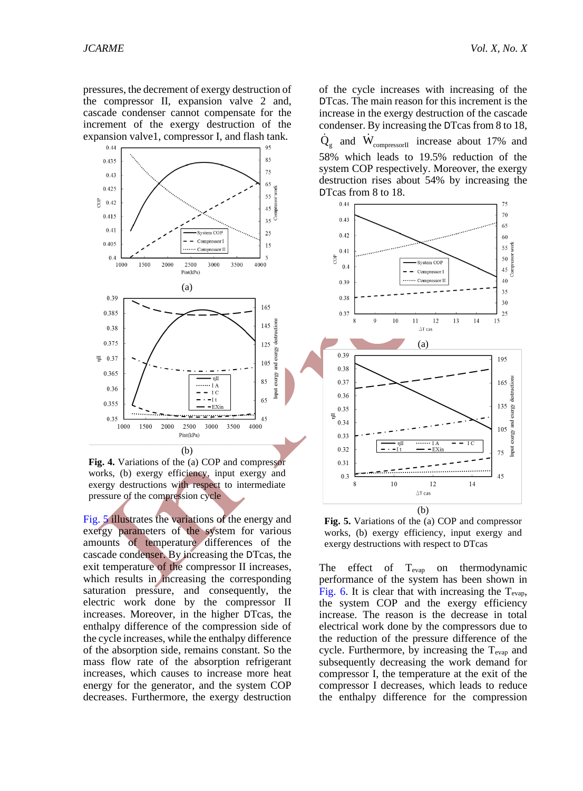pressures, the decrement of exergy destruction of the compressor II, expansion valve 2 and, cascade condenser cannot compensate for the increment of the exergy destruction of the expansion valve1, compressor I, and flash tank.



**Fig. 4.** Variations of the (a) COP and compressor works, (b) exergy efficiency, input exergy and exergy destructions with respect to intermediate pressure of the compression cycle

[Fig.](#page-8-0) 5 illustrates the variations of the energy and exergy parameters of the system for various amounts of temperature differences of the cascade condenser. By increasing the DTcas, the exit temperature of the compressor II increases, which results in increasing the corresponding saturation pressure, and consequently, the electric work done by the compressor II increases. Moreover, in the higher DTcas, the enthalpy difference of the compression side of the cycle increases, while the enthalpy difference of the absorption side, remains constant. So the mass flow rate of the absorption refrigerant increases, which causes to increase more heat energy for the generator, and the system COP decreases. Furthermore, the exergy destruction

of the cycle increases with increasing of the DTcas. The main reason for this increment is the increase in the exergy destruction of the cascade condenser. By increasing the DTcas from 8 to 18,  $Q<sub>g</sub>$  and  $\dot{W}_{\text{compression}}$  increase about 17% and 58% which leads to 19.5% reduction of the system COP respectively. Moreover, the exergy destruction rises about 54% by increasing the DTcas from 8 to 18.



<span id="page-8-0"></span>**Fig. 5.** Variations of the (a) COP and compressor works, (b) exergy efficiency, input exergy and exergy destructions with respect to DTcas

The effect of T<sub>evap</sub> on thermodynamic performance of the system has been shown in [Fig.](#page-9-0) 6. It is clear that with increasing the  $T_{evap}$ , the system COP and the exergy efficiency increase. The reason is the decrease in total electrical work done by the compressors due to the reduction of the pressure difference of the cycle. Furthermore, by increasing the  $T_{evap}$  and subsequently decreasing the work demand for compressor I, the temperature at the exit of the compressor I decreases, which leads to reduce the enthalpy difference for the compression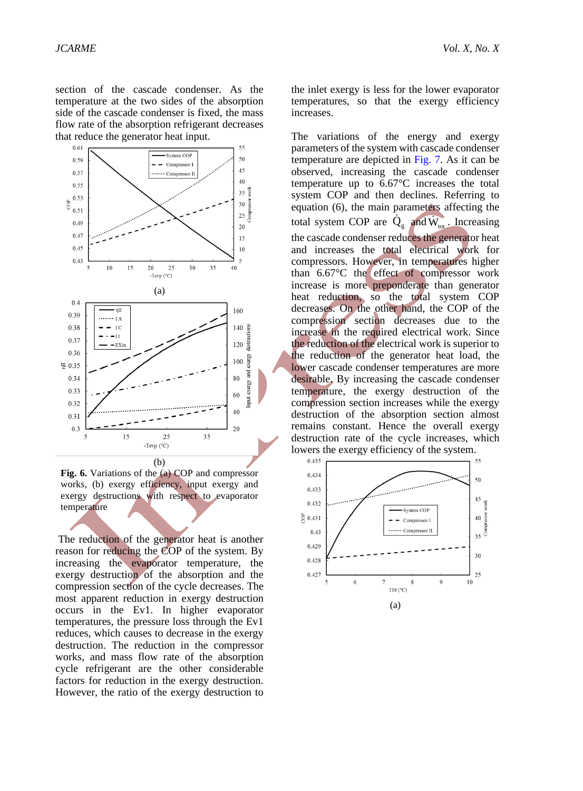section of the cascade condenser. As the temperature at the two sides of the absorption side of the cascade condenser is fixed, the mass flow rate of the absorption refrigerant decreases that reduce the generator heat input.



<span id="page-9-0"></span>**Fig. 6.** Variations of the (a) COP and compressor works, (b) exergy efficiency, input exergy and exergy destructions with respect to evaporator temperature

The reduction of the generator heat is another reason for reducing the COP of the system. By increasing the evaporator temperature, the exergy destruction of the absorption and the compression section of the cycle decreases. The most apparent reduction in exergy destruction occurs in the Ev1. In higher evaporator temperatures, the pressure loss through the Ev1 reduces, which causes to decrease in the exergy destruction. The reduction in the compressor works, and mass flow rate of the absorption cycle refrigerant are the other considerable factors for reduction in the exergy destruction. However, the ratio of the exergy destruction to the inlet exergy is less for the lower evaporator temperatures, so that the exergy efficiency increases.

The variations of the energy and exergy parameters of the system with cascade condenser temperature are depicted in [Fig.](#page-10-0) 7. As it can be observed, increasing the cascade condenser temperature up to 6.67°C increases the total system COP and then declines. Referring to equation (6), the main parameters affecting the total system COP are  $Q_g$  and  $\dot{W}_{tot}$ . Increasing the cascade condenser reduces the generator heat and increases the total electrical work for compressors. However, in temperatures higher than 6.67°C the effect of compressor work increase is more preponderate than generator heat reduction, so the total system COP decreases. On the other hand, the COP of the compression section decreases due to the increase in the required electrical work. Since the reduction of the electrical work is superior to the reduction of the generator heat load, the lower cascade condenser temperatures are more desirable. By increasing the cascade condenser temperature, the exergy destruction of the compression section increases while the exergy destruction of the absorption section almost remains constant. Hence the overall exergy destruction rate of the cycle increases, which lowers the exergy efficiency of the system.

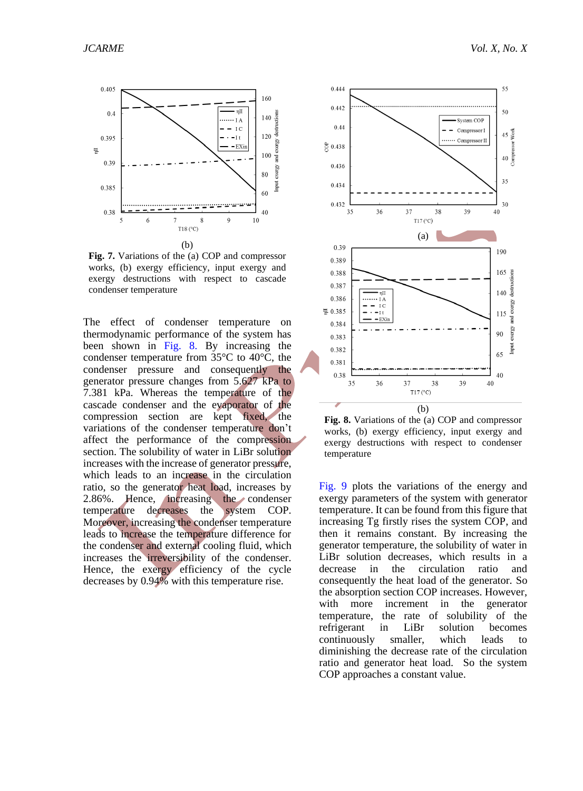

<span id="page-10-0"></span>**Fig. 7.** Variations of the (a) COP and compressor works, (b) exergy efficiency, input exergy and exergy destructions with respect to cascade condenser temperature

The effect of condenser temperature on thermodynamic performance of the system has been shown in [Fig.](#page-10-1) 8. By increasing the condenser temperature from 35°C to 40°C, the condenser pressure and consequently the generator pressure changes from 5.627 kPa to 7.381 kPa. Whereas the temperature of the cascade condenser and the evaporator of the compression section are kept fixed, the variations of the condenser temperature don't affect the performance of the compression section. The solubility of water in LiBr solution increases with the increase of generator pressure, which leads to an increase in the circulation ratio, so the generator heat load, increases by 2.86%. Hence, increasing the condenser temperature decreases the system COP. Moreover, increasing the condenser temperature leads to increase the temperature difference for the condenser and external cooling fluid, which increases the irreversibility of the condenser. Hence, the exergy efficiency of the cycle decreases by 0.94% with this temperature rise.



<span id="page-10-1"></span>**Fig. 8.** Variations of the (a) COP and compressor works, (b) exergy efficiency, input exergy and exergy destructions with respect to condenser temperature

[Fig.](#page-11-0) 9 plots the variations of the energy and exergy parameters of the system with generator temperature. It can be found from this figure that increasing Tg firstly rises the system COP, and then it remains constant. By increasing the generator temperature, the solubility of water in LiBr solution decreases, which results in a decrease in the circulation ratio and consequently the heat load of the generator. So the absorption section COP increases. However, with more increment in the generator temperature, the rate of solubility of the refrigerant in LiBr solution becomes continuously smaller, which leads to diminishing the decrease rate of the circulation ratio and generator heat load. So the system COP approaches a constant value.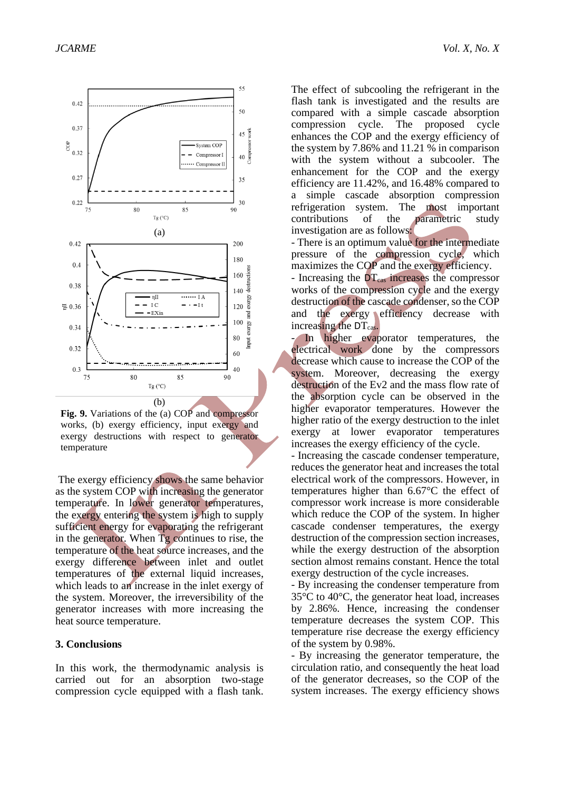

<span id="page-11-0"></span>**Fig. 9.** Variations of the (a) COP and compressor works, (b) exergy efficiency, input exergy and exergy destructions with respect to generator temperature

The exergy efficiency shows the same behavior as the system COP with increasing the generator temperature. In lower generator temperatures, the exergy entering the system is high to supply sufficient energy for evaporating the refrigerant in the generator. When Tg continues to rise, the temperature of the heat source increases, and the exergy difference between inlet and outlet temperatures of the external liquid increases, which leads to an increase in the inlet exergy of the system. Moreover, the irreversibility of the generator increases with more increasing the heat source temperature.

## **3. Conclusions**

In this work, the thermodynamic analysis is carried out for an absorption two-stage compression cycle equipped with a flash tank.

The effect of subcooling the refrigerant in the flash tank is investigated and the results are compared with a simple cascade absorption compression cycle. The proposed cycle enhances the COP and the exergy efficiency of the system by 7.86% and 11.21 % in comparison with the system without a subcooler. The enhancement for the COP and the exergy efficiency are 11.42%, and 16.48% compared to a simple cascade absorption compression refrigeration system. The most important contributions of the parametric study investigation are as follows:

- There is an optimum value for the intermediate pressure of the compression cycle, which maximizes the COP and the exergy efficiency.

- Increasing the  $DT_{cas}$  increases the compressor works of the compression cycle and the exergy destruction of the cascade condenser, so the COP and the exergy efficiency decrease with increasing the DT<sub>cas</sub>.

In higher evaporator temperatures, the electrical work done by the compressors decrease which cause to increase the COP of the system. Moreover, decreasing the exergy destruction of the Ev2 and the mass flow rate of the absorption cycle can be observed in the higher evaporator temperatures. However the higher ratio of the exergy destruction to the inlet exergy at lower evaporator temperatures increases the exergy efficiency of the cycle.

- Increasing the cascade condenser temperature, reduces the generator heat and increases the total electrical work of the compressors. However, in temperatures higher than 6.67°C the effect of compressor work increase is more considerable which reduce the COP of the system. In higher cascade condenser temperatures, the exergy destruction of the compression section increases, while the exergy destruction of the absorption section almost remains constant. Hence the total exergy destruction of the cycle increases.

- By increasing the condenser temperature from 35°C to 40°C, the generator heat load, increases by 2.86%. Hence, increasing the condenser temperature decreases the system COP. This temperature rise decrease the exergy efficiency of the system by 0.98%.

- By increasing the generator temperature, the circulation ratio, and consequently the heat load of the generator decreases, so the COP of the system increases. The exergy efficiency shows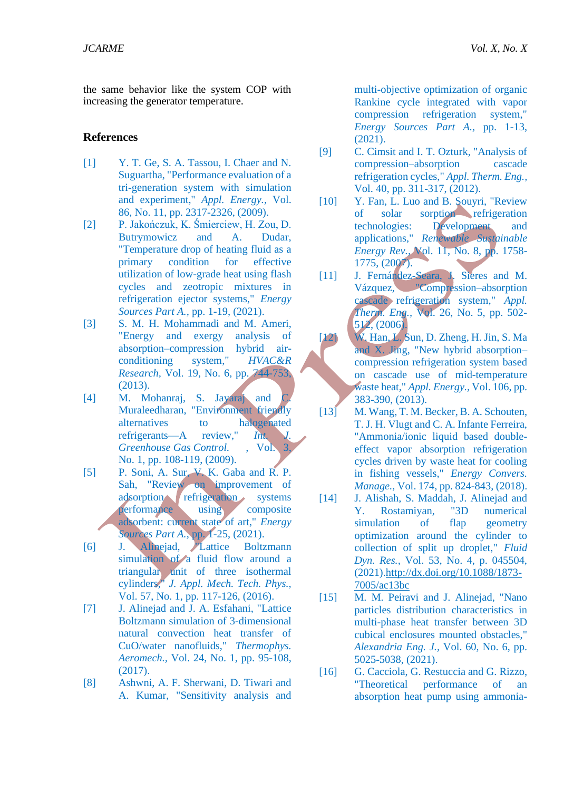the same behavior like the system COP with increasing the generator temperature.

# **References**

- <span id="page-12-0"></span>[1] Y. T. Ge, S. A. Tassou, I. Chaer and N. Suguartha, "Performance evaluation of a tri-generation system with simulation and experiment," *Appl. Energy.,* Vol. 86, No. 11, pp. 2317-2326, (2009).
- [2] P. Jakończuk, K. Śmierciew, H. Zou, D. Butrymowicz and A. Dudar, "Temperature drop of heating fluid as a primary condition for effective utilization of low-grade heat using flash cycles and zeotropic mixtures in refrigeration ejector systems," *Energy Sources Part A.,* pp. 1-19, (2021).
- [3] S. M. H. Mohammadi and M. Ameri, "Energy and exergy analysis of absorption–compression hybrid airconditioning system," *HVAC&R Research,* Vol. 19, No. 6, pp. 744-753, (2013).
- [4] M. Mohanraj, S. Jayaraj and Muraleedharan, "Environment friendly alternatives to halogenated refrigerants—A review," *Int. Greenhouse Gas Control.* , Vol. 3 No. 1, pp. 108-119, (2009).
- [5] P. Soni, A. Sur, V. K. Gaba and R. P. Sah, "Review on improvement of adsorption refrigeration systems performance using composite adsorbent: current state of art," *Energy Sources Part A.,* pp. 1-25, (2021).
- [6] J. Alinejad, "Lattice Boltzmann simulation of a fluid flow around a triangular unit of three isothermal cylinders," *J. Appl. Mech. Tech. Phys.,*  Vol. 57, No. 1, pp. 117-126, (2016).
- [7] J. Alinejad and J. A. Esfahani, "Lattice Boltzmann simulation of 3-dimensional natural convection heat transfer of CuO/water nanofluids," *Thermophys. Aeromech.,* Vol. 24, No. 1, pp. 95-108, (2017).
- <span id="page-12-1"></span>[8] Ashwni, A. F. Sherwani, D. Tiwari and A. Kumar, "Sensitivity analysis and

multi-objective optimization of organic Rankine cycle integrated with vapor compression refrigeration system," *Energy Sources Part A.,* pp. 1-13, (2021).

- [9] C. Cimsit and I. T. Ozturk, "Analysis of compression–absorption cascade refrigeration cycles," *Appl. Therm. Eng.,*  Vol. 40, pp. 311-317, (2012).
- [10] Y. Fan, L. Luo and B. Souyri, "Review of solar sorption refrigeration technologies: Development and applications," *Renewable Sustainable Energy Rev.,* Vol. 11, No. 8, pp. 1758- 1775, (2007).
- [11] J. Fernández-Seara, J. Sieres and M. Vázquez, "Compression–absorption cascade refrigeration system," *Appl. Therm. Eng.,* Vol. 26, No. 5, pp. 502- 512, (2006).
- [12] W. Han, L. Sun, D. Zheng, H. Jin, S. Ma and X. Jing, "New hybrid absorptioncompression refrigeration system based on cascade use of mid-temperature waste heat," *Appl. Energy.,* Vol. 106, pp. 383-390, (2013).
- [13] M. Wang, T. M. Becker, B. A. Schouten, T. J. H. Vlugt and C. A. Infante Ferreira, "Ammonia/ionic liquid based doubleeffect vapor absorption refrigeration cycles driven by waste heat for cooling in fishing vessels," *Energy Convers. Manage.,* Vol. 174, pp. 824-843, (2018).
- [14] J. Alishah, S. Maddah, J. Alinejad and Y. Rostamiyan, "3D numerical simulation of flap geometry optimization around the cylinder to collection of split up droplet," *Fluid Dyn. Res.,* Vol. 53, No. 4, p. 045504, (2021)[.http://dx.doi.org/10.1088/1873-](http://dx.doi.org/10.1088/1873-7005/ac13bc) [7005/ac13bc](http://dx.doi.org/10.1088/1873-7005/ac13bc)
- [15] M. M. Peiravi and J. Alinejad, "Nano particles distribution characteristics in multi-phase heat transfer between 3D cubical enclosures mounted obstacles," *Alexandria Eng. J.,* Vol. 60, No. 6, pp. 5025-5038, (2021).
- <span id="page-12-2"></span>[16] G. Cacciola, G. Restuccia and G. Rizzo, "Theoretical performance of an absorption heat pump using ammonia-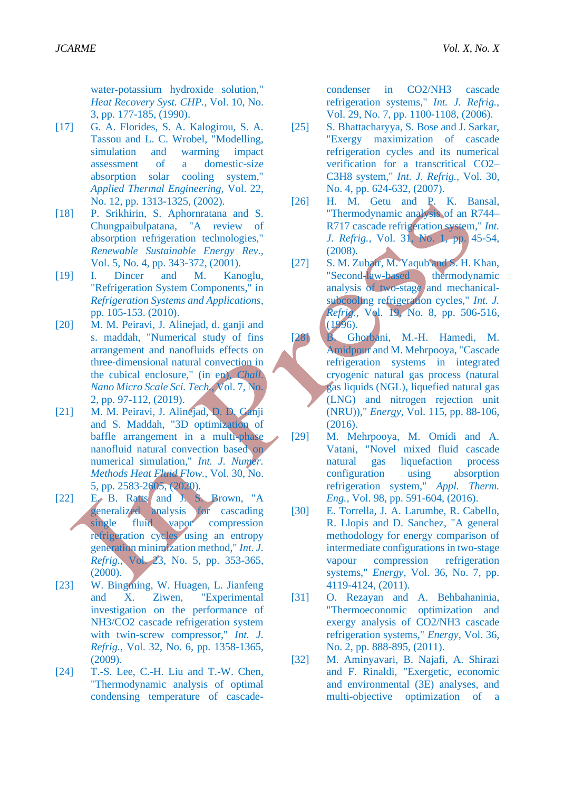water-potassium hydroxide solution," *Heat Recovery Syst. CHP.,* Vol. 10, No. 3, pp. 177-185, (1990).

- <span id="page-13-11"></span>[17] G. A. Florides, S. A. Kalogirou, S. A. Tassou and L. C. Wrobel, "Modelling, simulation and warming impact assessment of a domestic-size absorption solar cooling system," *Applied Thermal Engineering,* Vol. 22, No. 12, pp. 1313-1325, (2002).
- [18] P. Srikhirin, S. Aphornratana and S. Chungpaibulpatana, "A review of absorption refrigeration technologies," *Renewable Sustainable Energy Rev.,*  Vol. 5, No. 4, pp. 343-372, (2001).
- [19] I. Dincer and M. Kanoglu, "Refrigeration System Components," in *Refrigeration Systems and Applications*, pp. 105-153. (2010).
- [20] M. M. Peiravi, J. Alinejad, d. ganji and s. maddah, "Numerical study of fins arrangement and nanofluids effects on three-dimensional natural convection in the cubical enclosure," (in en), *Chall. Nano Micro Scale Sci. Tech.,* Vol. 7, No. 2, pp. 97-112, (2019).
- [21] M. M. Peiravi, J. Alinejad, D. D. Ganji and S. Maddah, "3D optimization of baffle arrangement in a multi-phase nanofluid natural convection based on numerical simulation," *Int. J. Numer. Methods Heat Fluid Flow.,* Vol. 30, No. 5, pp. 2583-2605, (2020).
- <span id="page-13-0"></span>[22]  $E \sim B$ . Ratts and J. S. Brown, "A generalized analysis for cascading single fluid vapor compression refrigeration cycles using an entropy generation minimization method," *Int. J. Refrig.,* Vol. 23, No. 5, pp. 353-365, (2000).
- <span id="page-13-1"></span>[23] W. Bingming, W. Huagen, L. Jianfeng and X. Ziwen, "Experimental investigation on the performance of NH3/CO2 cascade refrigeration system with twin-screw compressor," *Int. J. Refrig.,* Vol. 32, No. 6, pp. 1358-1365, (2009).
- <span id="page-13-2"></span>[24] T.-S. Lee, C.-H. Liu and T.-W. Chen, "Thermodynamic analysis of optimal condensing temperature of cascade-

condenser in CO2/NH3 cascade refrigeration systems," *Int. J. Refrig.,*  Vol. 29, No. 7, pp. 1100-1108, (2006).

- <span id="page-13-3"></span>[25] S. Bhattacharyya, S. Bose and J. Sarkar, "Exergy maximization of cascade refrigeration cycles and its numerical verification for a transcritical CO2– C3H8 system," *Int. J. Refrig.,* Vol. 30, No. 4, pp. 624-632, (2007).
- <span id="page-13-4"></span>[26] H. M. Getu and P. K. Bansal, "Thermodynamic analysis of an R744– R717 cascade refrigeration system," *Int. J. Refrig.,* Vol. 31, No. 1, pp. 45-54, (2008).
- <span id="page-13-5"></span>[27] S. M. Zubair, M. Yaqub and S. H. Khan, "Second-law-based thermodynamic analysis of two-stage and mechanicalsubcooling refrigeration cycles," *Int. J. Refrig.,* Vol. 19, No. 8, pp. 506-516, (1996).
- <span id="page-13-6"></span>[28] B. Ghorbani, M.-H. Hamedi, M. Amidpour and M. Mehrpooya, "Cascade refrigeration systems in integrated cryogenic natural gas process (natural gas liquids (NGL), liquefied natural gas (LNG) and nitrogen rejection unit (NRU))," *Energy,* Vol. 115, pp. 88-106, (2016).
- <span id="page-13-7"></span>[29] M. Mehrpooya, M. Omidi and A. Vatani, "Novel mixed fluid cascade natural gas liquefaction process configuration using absorption refrigeration system," *Appl. Therm. Eng.,* Vol. 98, pp. 591-604, (2016).
- <span id="page-13-8"></span>[30] E. Torrella, J. A. Larumbe, R. Cabello, R. Llopis and D. Sanchez, "A general methodology for energy comparison of intermediate configurations in two-stage vapour compression refrigeration systems," *Energy,* Vol. 36, No. 7, pp. 4119-4124, (2011).
- <span id="page-13-9"></span>[31] O. Rezayan and A. Behbahaninia, "Thermoeconomic optimization and exergy analysis of CO2/NH3 cascade refrigeration systems," *Energy,* Vol. 36, No. 2, pp. 888-895, (2011).
- <span id="page-13-10"></span>[32] M. Aminyavari, B. Najafi, A. Shirazi and F. Rinaldi, "Exergetic, economic and environmental (3E) analyses, and multi-objective optimization of a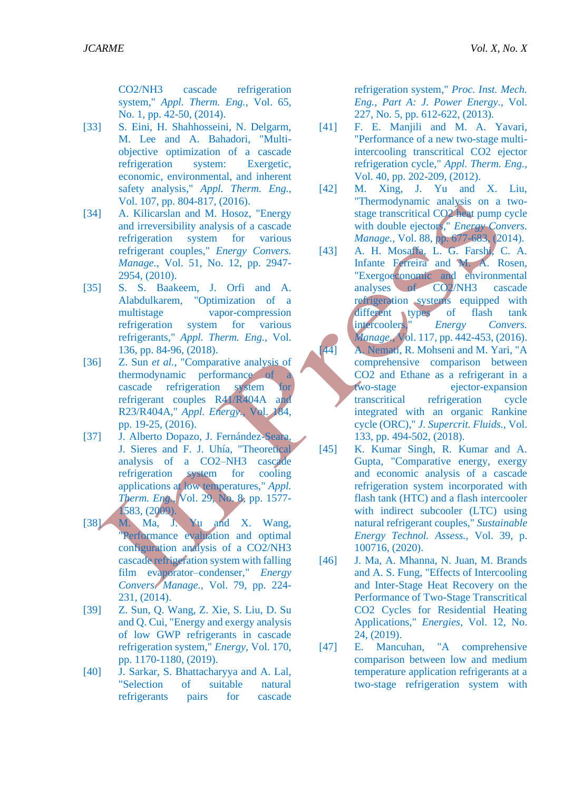CO2/NH3 cascade refrigeration system," *Appl. Therm. Eng.,* Vol. 65, No. 1, pp. 42-50, (2014).

- <span id="page-14-0"></span>[33] S. Eini, H. Shahhosseini, N. Delgarm, M. Lee and A. Bahadori, "Multiobjective optimization of a cascade refrigeration system: Exergetic, economic, environmental, and inherent safety analysis," *Appl. Therm. Eng.,*  Vol. 107, pp. 804-817, (2016).
- <span id="page-14-1"></span>[34] A. Kilicarslan and M. Hosoz, "Energy and irreversibility analysis of a cascade refrigeration system for various refrigerant couples," *Energy Convers. Manage.,* Vol. 51, No. 12, pp. 2947- 2954, (2010).
- <span id="page-14-2"></span>[35] S. S. Baakeem, J. Orfi and A. Alabdulkarem, "Optimization of a multistage vapor-compression refrigeration system for various refrigerants," *Appl. Therm. Eng.,* Vol. 136, pp. 84-96, (2018).
- <span id="page-14-3"></span>[36] **Z.** Sun *et al.*, "Comparative analysis of thermodynamic performance of a cascade refrigeration system for refrigerant couples R41/R404A and R23/R404A," *Appl. Energy.,* Vol. 184, pp. 19-25, (2016).
- <span id="page-14-4"></span>[37] J. Alberto Dopazo, J. Fernández-Seara, J. Sieres and F. J. Uhía, "Theoretical analysis of a CO2–NH3 cascade refrigeration system for cooling applications at low temperatures," *Appl. Therm. Eng.,* Vol. 29, No. 8, pp. 1577- 1583, (2009).
- <span id="page-14-5"></span>[38] M. Ma, J. Yu and X. Wang, "Performance evaluation and optimal configuration analysis of a CO2/NH3 cascade refrigeration system with falling film evaporator–condenser," *Energy Convers. Manage.,* Vol. 79, pp. 224- 231, (2014).
- <span id="page-14-6"></span>[39] Z. Sun, Q. Wang, Z. Xie, S. Liu, D. Su and Q. Cui, "Energy and exergy analysis of low GWP refrigerants in cascade refrigeration system," *Energy,* Vol. 170, pp. 1170-1180, (2019).
- <span id="page-14-7"></span>[40] J. Sarkar, S. Bhattacharyya and A. Lal, "Selection of suitable natural refrigerants pairs for cascade

refrigeration system," *Proc. Inst. Mech. Eng., Part A: J. Power Energy.,* Vol. 227, No. 5, pp. 612-622, (2013).

- <span id="page-14-8"></span>[41] F. E. Manjili and M. A. Yavari, "Performance of a new two-stage multiintercooling transcritical CO2 ejector refrigeration cycle," *Appl. Therm. Eng.,*  Vol. 40, pp. 202-209, (2012).
- <span id="page-14-9"></span>[42] M. Xing, J. Yu and X. Liu, "Thermodynamic analysis on a twostage transcritical CO2 heat pump cycle with double ejectors," *Energy Convers. Manage.,* Vol. 88, pp. 677-683, (2014).
- <span id="page-14-11"></span><span id="page-14-10"></span>[43] A. H. Mosaffa, L. G. Farshi, C. A. Infante Ferreira and M. A. Rosen, "Exergoeconomic and environmental analyses of CO2/NH3 cascade refrigeration systems equipped with different types of flash tank intercoolers," *Energy Convers. Manage.,* Vol. 117, pp. 442-453, (2016). [44] A. Nemati, R. Mohseni and M. Yari, "A comprehensive comparison between CO2 and Ethane as a refrigerant in a two-stage ejector-expansion transcritical refrigeration cycle integrated with an organic Rankine cycle (ORC)," *J. Supercrit. Fluids.,* Vol. 133, pp. 494-502, (2018).
- <span id="page-14-12"></span>[45] K. Kumar Singh, R. Kumar and A. Gupta, "Comparative energy, exergy and economic analysis of a cascade refrigeration system incorporated with flash tank (HTC) and a flash intercooler with indirect subcooler (LTC) using natural refrigerant couples," *Sustainable Energy Technol. Assess.,* Vol. 39, p. 100716, (2020).
- <span id="page-14-13"></span>[46] J. Ma, A. Mhanna, N. Juan, M. Brands and A. S. Fung, "Effects of Intercooling and Inter-Stage Heat Recovery on the Performance of Two-Stage Transcritical CO2 Cycles for Residential Heating Applications," *Energies,* Vol. 12, No. 24, (2019).
- <span id="page-14-14"></span>[47] E. Mancuhan, "A comprehensive comparison between low and medium temperature application refrigerants at a two-stage refrigeration system with